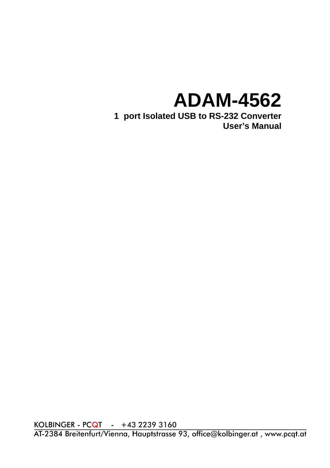# **ADAM-4562**

**1 port Isolated USB to RS-232 Converter User's Manual**

KOLBINGER - PCQT - +43 2239 3160<br>AT-2384 Breitenfurt/Vienna, Hauptstrasse 93, office@kolbinger.at, www.pcqt.at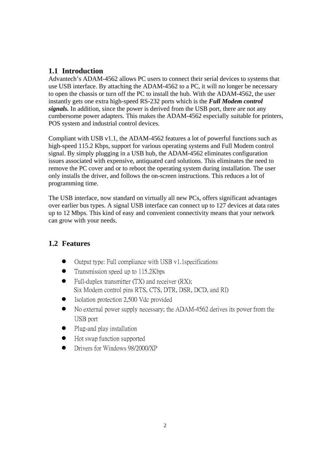## **1.1 Introduction**

Advantech's ADAM-4562 allows PC users to connect their serial devices to systems that use USB interface. By attaching the ADAM-4562 to a PC, it will no longer be necessary to open the chassis or turn off the PC to install the hub. With the ADAM-4562, the user instantly gets one extra high-speed RS-232 ports which is the *Full Modem control signals.* In addition, since the power is derived from the USB port, there are not any cumbersome power adapters. This makes the ADAM-4562 especially suitable for printers, POS system and industrial control devices.

Compliant with USB v1.1, the ADAM-4562 features a lot of powerful functions such as high-speed 115.2 Kbps, support for various operating systems and Full Modem control signal. By simply plugging in a USB hub, the ADAM-4562 eliminates configuration issues associated with expensive, antiquated card solutions. This eliminates the need to remove the PC cover and or to reboot the operating system during installation. The user only installs the driver, and follows the on-screen instructions. This reduces a lot of programming time.

The USB interface, now standard on virtually all new PCs, offers significant advantages over earlier bus types. A signal USB interface can connect up to 127 devices at data rates up to 12 Mbps. This kind of easy and convenient connectivity means that your network can grow with your needs.

# **1.2 Features**

- Output type: Full compliance with USB v1.1specifications
- $\bullet$  Transmission speed up to 115.2Kbps
- $\bullet$  Full-duplex transmitter (TX) and receiver (RX); Six Modem control pins RTS, CTS, DTR, DSR, DCD, and RI)
- Isolation protection 2,500 Vdc provided
- No external power supply necessary; the ADAM-4562 derives its power from the USB port
- $\bullet$  Plug-and play installation
- Hot swap function supported
- Drivers for Windows 98/2000/XP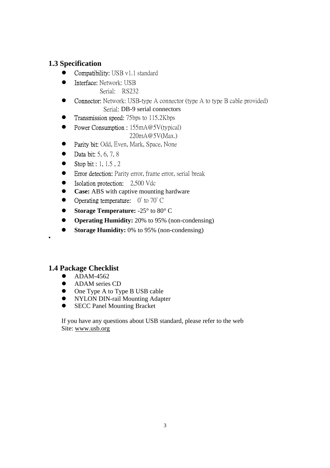# **1.3 Specification**

- Compatibility: USB v1.1 standard
- **•** Interface: Network: USB Serial: RS232
- Connector: Network: USB-type A connector (type A to type B cable provided) Serial: DB-9 serial connectors
- Transmission speed: 75bps to 115.2Kbps
- Power Consumption :  $155mA@5V(typical)$ 220mA@5V(Max.)
- Parity bit: Odd, Even, Mark, Space, None
- Data bit:  $5, 6, 7, 8$
- Stop bit : 1, 1.5, 2
- Error detection: Parity error, frame error, serial break
- Isolation protection: 2,500 Vdc
- **Case:** ABS with captive mounting hardware
- $\bullet$  Operating temperature:  $0^{\circ}$  to 70 $^{\circ}$  C
- Storage Temperature:  $-25^\circ$  to 80<sup>°</sup> C
- **• Operating Humidity:** 20% to 95% (non-condensing)
- **Storage Humidity:** 0% to 95% (non-condensing)

# **1.4 Package Checklist**

•

- ADAM-4562
- ADAM series CD
- One Type A to Type B USB cable
- NYLON DIN-rail Mounting Adapter
- SECC Panel Mounting Bracket

If you have any questions about USB standard, please refer to the web Site: www.usb.org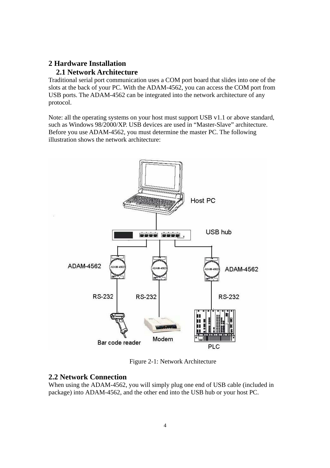# **2 Hardware Installation**

# **2.1 Network Architecture**

Traditional serial port communication uses a COM port board that slides into one of the slots at the back of your PC. With the ADAM-4562, you can access the COM port from USB ports. The ADAM-4562 can be integrated into the network architecture of any protocol.

Note: all the operating systems on your host must support USB v1.1 or above standard, such as Windows 98/2000/XP. USB devices are used in "Master-Slave" architecture. Before you use ADAM-4562, you must determine the master PC. The following illustration shows the network architecture:



Figure 2-1: Network Architecture

### **2.2 Network Connection**

When using the ADAM-4562, you will simply plug one end of USB cable (included in package) into ADAM-4562, and the other end into the USB hub or your host PC.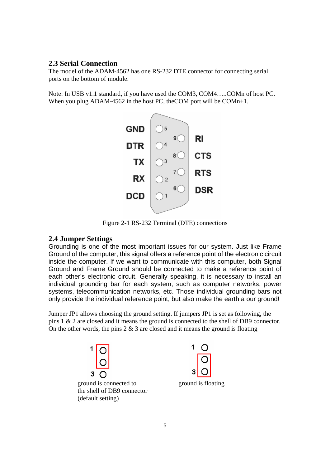#### **2.3 Serial Connection**

The model of the ADAM-4562 has one RS-232 DTE connector for connecting serial ports on the bottom of module.

Note: In USB v1.1 standard, if you have used the COM3, COM4…..COMn of host PC. When you plug ADAM-4562 in the host PC, the COM port will be COMn+1.



Figure 2-1 RS-232 Terminal (DTE) connections

#### **2.4 Jumper Settings**

Grounding is one of the most important issues for our system. Just like Frame Ground of the computer, this signal offers a reference point of the electronic circuit inside the computer. If we want to communicate with this computer, both Signal Ground and Frame Ground should be connected to make a reference point of each other's electronic circuit. Generally speaking, it is necessary to install an individual grounding bar for each system, such as computer networks, power systems, telecommunication networks, etc. Those individual grounding bars not only provide the individual reference point, but also make the earth a our ground!

Jumper JP1 allows choosing the ground setting. If jumpers JP1 is set as following, the pins 1 & 2 are closed and it means the ground is connected to the shell of DB9 connector. On the other words, the pins  $2 \& 3$  are closed and it means the ground is floating



the shell of DB9 connector (default setting)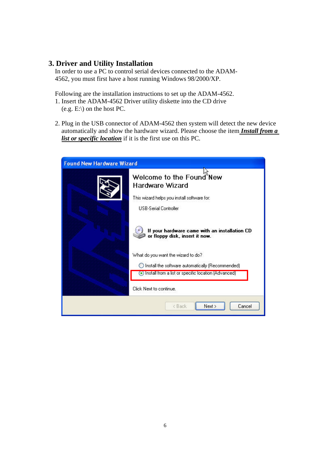# **3. Driver and Utility Installation**

In order to use a PC to control serial devices connected to the ADAM-4562, you must first have a host running Windows 98/2000/XP.

Following are the installation instructions to set up the ADAM-4562. 1. Insert the ADAM-4562 Driver utility diskette into the CD drive  $(e.g. E:\rangle)$  on the host PC.

2. Plug in the USB connector of ADAM-4562 then system will detect the new device automatically and show the hardware wizard. Please choose the item *Install from a list or specific location* if it is the first use on this PC.

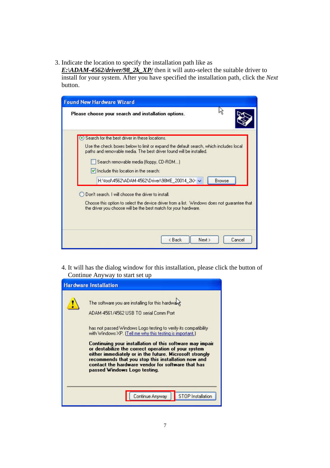3. Indicate the location to specify the installation path like as

*E:\ADAM-4562/driver/98\_2k\_XP/* then it will auto-select the suitable driver to install for your system. After you have specified the installation path, click the *Next*  button.

| Please choose your search and installation options.                                                                                                                                                                |
|--------------------------------------------------------------------------------------------------------------------------------------------------------------------------------------------------------------------|
| Search for the best driver in these locations.                                                                                                                                                                     |
| Use the check boxes below to limit or expand the default search, which includes local<br>paths and removable media. The best driver found will be installed.                                                       |
| Search removable media (floppy, CD-ROM)                                                                                                                                                                            |
| $\vee$ Include this location in the search:                                                                                                                                                                        |
| H:\tool\4562\ADAM-4562\Driver\98ME 20014 2k> ~<br><b>Browse</b>                                                                                                                                                    |
| Don't search I will choose the driver to install<br>Choose this option to select the device driver from a list. Windows does not quarantee that<br>the driver you choose will be the best match for your hardware. |
| < Back<br>Next ><br>Cancel                                                                                                                                                                                         |

4. It will has the dialog window for this installation, please click the button of Continue Anyway to start set up

|  | <b>Hardware Installation</b>                                                                                                                                                                                                                                                                                          |
|--|-----------------------------------------------------------------------------------------------------------------------------------------------------------------------------------------------------------------------------------------------------------------------------------------------------------------------|
|  | The software you are installing for this hardward                                                                                                                                                                                                                                                                     |
|  | ADAM-4561/4562 USB TO serial Comm Port                                                                                                                                                                                                                                                                                |
|  | has not passed Windows Logo testing to verify its compatibility<br>with Windows XP. (Tell me why this testing is important.)                                                                                                                                                                                          |
|  | Continuing your installation of this software may impair<br>or destabilize the correct operation of your system<br>either immediately or in the future. Microsoft strongly<br>recommends that you stop this installation now and<br>contact the hardware vendor for software that has<br>passed Windows Logo testing. |
|  | STOP Installation<br>Continue Anyway                                                                                                                                                                                                                                                                                  |